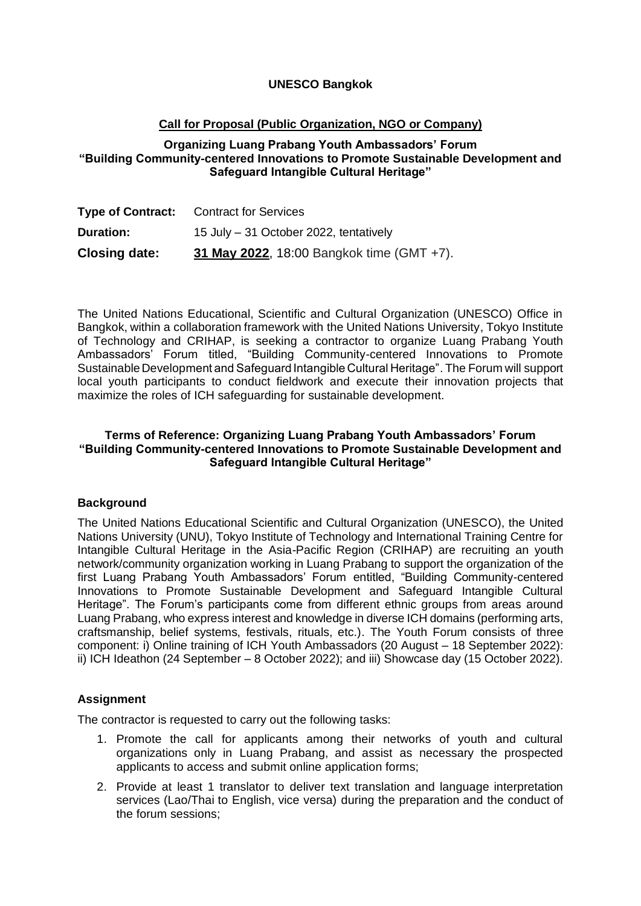# **UNESCO Bangkok**

# **Call for Proposal (Public Organization, NGO or Company)**

# **Organizing Luang Prabang Youth Ambassadors' Forum "Building Community-centered Innovations to Promote Sustainable Development and Safeguard Intangible Cultural Heritage"**

| <b>Type of Contract:</b> | <b>Contract for Services</b>              |
|--------------------------|-------------------------------------------|
| <b>Duration:</b>         | 15 July - 31 October 2022, tentatively    |
| <b>Closing date:</b>     | 31 May 2022, 18:00 Bangkok time (GMT +7). |

The United Nations Educational, Scientific and Cultural Organization (UNESCO) Office in Bangkok, within a collaboration framework with the United Nations University, Tokyo Institute of Technology and CRIHAP, is seeking a contractor to organize Luang Prabang Youth Ambassadors' Forum titled, "Building Community-centered Innovations to Promote Sustainable Development and Safeguard Intangible Cultural Heritage". The Forum will support local youth participants to conduct fieldwork and execute their innovation projects that maximize the roles of ICH safeguarding for sustainable development.

## **Terms of Reference: Organizing Luang Prabang Youth Ambassadors' Forum "Building Community-centered Innovations to Promote Sustainable Development and Safeguard Intangible Cultural Heritage"**

## **Background**

The United Nations Educational Scientific and Cultural Organization (UNESCO), the United Nations University (UNU), Tokyo Institute of Technology and International Training Centre for Intangible Cultural Heritage in the Asia-Pacific Region (CRIHAP) are recruiting an youth network/community organization working in Luang Prabang to support the organization of the first Luang Prabang Youth Ambassadors' Forum entitled, "Building Community-centered Innovations to Promote Sustainable Development and Safeguard Intangible Cultural Heritage". The Forum's participants come from different ethnic groups from areas around Luang Prabang, who express interest and knowledge in diverse ICH domains (performing arts, craftsmanship, belief systems, festivals, rituals, etc.). The Youth Forum consists of three component: i) Online training of ICH Youth Ambassadors (20 August – 18 September 2022): ii) ICH Ideathon (24 September – 8 October 2022); and iii) Showcase day (15 October 2022).

## **Assignment**

The contractor is requested to carry out the following tasks:

- 1. Promote the call for applicants among their networks of youth and cultural organizations only in Luang Prabang, and assist as necessary the prospected applicants to access and submit online application forms;
- 2. Provide at least 1 translator to deliver text translation and language interpretation services (Lao/Thai to English, vice versa) during the preparation and the conduct of the forum sessions;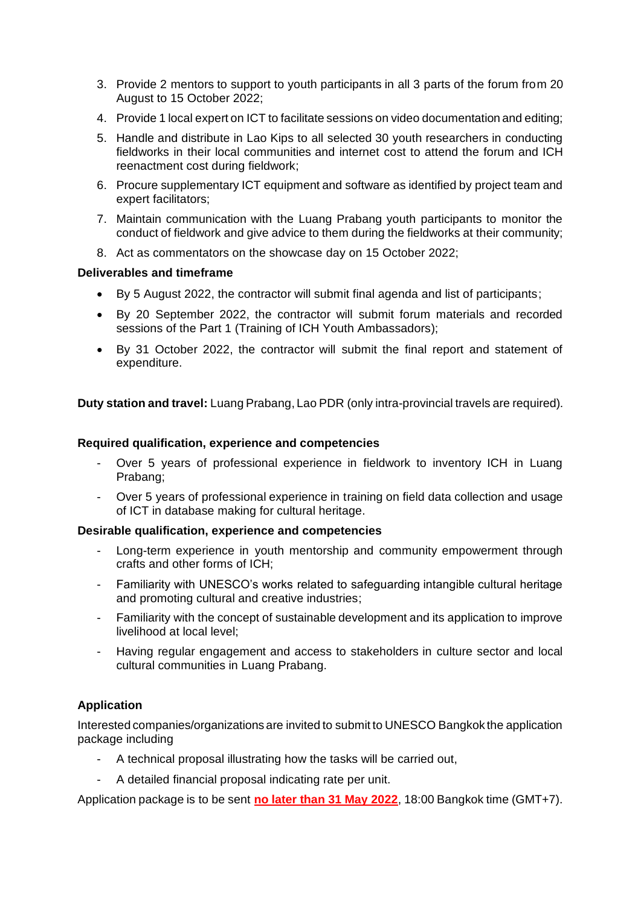- 3. Provide 2 mentors to support to youth participants in all 3 parts of the forum from 20 August to 15 October 2022;
- 4. Provide 1 local expert on ICT to facilitate sessions on video documentation and editing;
- 5. Handle and distribute in Lao Kips to all selected 30 youth researchers in conducting fieldworks in their local communities and internet cost to attend the forum and ICH reenactment cost during fieldwork;
- 6. Procure supplementary ICT equipment and software as identified by project team and expert facilitators;
- 7. Maintain communication with the Luang Prabang youth participants to monitor the conduct of fieldwork and give advice to them during the fieldworks at their community;
- 8. Act as commentators on the showcase day on 15 October 2022;

#### **Deliverables and timeframe**

- By 5 August 2022, the contractor will submit final agenda and list of participants;
- By 20 September 2022, the contractor will submit forum materials and recorded sessions of the Part 1 (Training of ICH Youth Ambassadors);
- By 31 October 2022, the contractor will submit the final report and statement of expenditure.

**Duty station and travel:** Luang Prabang, Lao PDR (only intra-provincial travels are required).

#### **Required qualification, experience and competencies**

- Over 5 years of professional experience in fieldwork to inventory ICH in Luang Prabang;
- Over 5 years of professional experience in training on field data collection and usage of ICT in database making for cultural heritage.

#### **Desirable qualification, experience and competencies**

- Long-term experience in youth mentorship and community empowerment through crafts and other forms of ICH;
- Familiarity with UNESCO's works related to safeguarding intangible cultural heritage and promoting cultural and creative industries;
- Familiarity with the concept of sustainable development and its application to improve livelihood at local level;
- Having regular engagement and access to stakeholders in culture sector and local cultural communities in Luang Prabang.

## **Application**

Interested companies/organizations are invited to submit to UNESCO Bangkok the application package including

- A technical proposal illustrating how the tasks will be carried out,
- A detailed financial proposal indicating rate per unit.

Application package is to be sent **no later than 31 May 2022**, 18:00 Bangkok time (GMT+7).